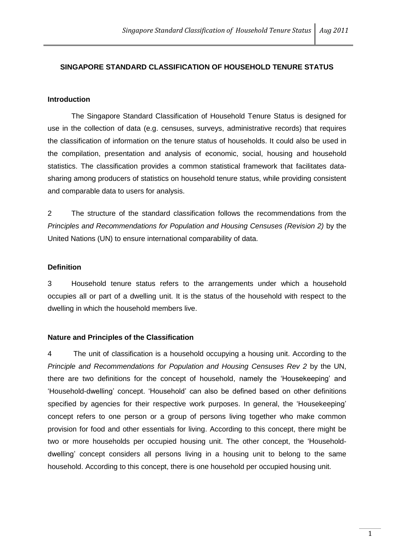### **SINGAPORE STANDARD CLASSIFICATION OF HOUSEHOLD TENURE STATUS**

#### **Introduction**

The Singapore Standard Classification of Household Tenure Status is designed for use in the collection of data (e.g. censuses, surveys, administrative records) that requires the classification of information on the tenure status of households. It could also be used in the compilation, presentation and analysis of economic, social, housing and household statistics. The classification provides a common statistical framework that facilitates datasharing among producers of statistics on household tenure status, while providing consistent and comparable data to users for analysis.

2 The structure of the standard classification follows the recommendations from the *Principles and Recommendations for Population and Housing Censuses (Revision 2)* by the United Nations (UN) to ensure international comparability of data.

#### **Definition**

3 Household tenure status refers to the arrangements under which a household occupies all or part of a dwelling unit. It is the status of the household with respect to the dwelling in which the household members live.

#### **Nature and Principles of the Classification**

4 The unit of classification is a household occupying a housing unit. According to the *Principle and Recommendations for Population and Housing Censuses Rev 2* by the UN, there are two definitions for the concept of household, namely the 'Housekeeping' and 'Household-dwelling' concept. 'Household' can also be defined based on other definitions specified by agencies for their respective work purposes. In general, the 'Housekeeping' concept refers to one person or a group of persons living together who make common provision for food and other essentials for living. According to this concept, there might be two or more households per occupied housing unit. The other concept, the 'Householddwelling' concept considers all persons living in a housing unit to belong to the same household. According to this concept, there is one household per occupied housing unit.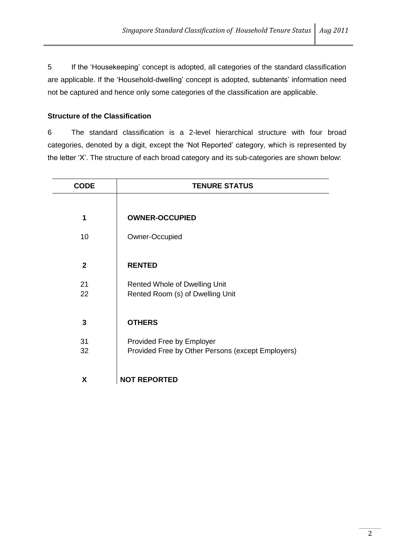5 If the 'Housekeeping' concept is adopted, all categories of the standard classification are applicable. If the 'Household-dwelling' concept is adopted, subtenants' information need not be captured and hence only some categories of the classification are applicable.

## **Structure of the Classification**

6 The standard classification is a 2-level hierarchical structure with four broad categories, denoted by a digit, except the 'Not Reported' category, which is represented by the letter 'X'. The structure of each broad category and its sub-categories are shown below:

| <b>CODE</b>    | <b>TENURE STATUS</b>                                                     |  |
|----------------|--------------------------------------------------------------------------|--|
|                |                                                                          |  |
| 1              | <b>OWNER-OCCUPIED</b>                                                    |  |
| 10             | Owner-Occupied                                                           |  |
|                |                                                                          |  |
| $\overline{2}$ | <b>RENTED</b>                                                            |  |
| 21             | <b>Rented Whole of Dwelling Unit</b><br>Rented Room (s) of Dwelling Unit |  |
| 22             |                                                                          |  |
| 3              | <b>OTHERS</b>                                                            |  |
|                |                                                                          |  |
| 31             | Provided Free by Employer                                                |  |
| 32             | Provided Free by Other Persons (except Employers)                        |  |
| X              | <b>NOT REPORTED</b>                                                      |  |